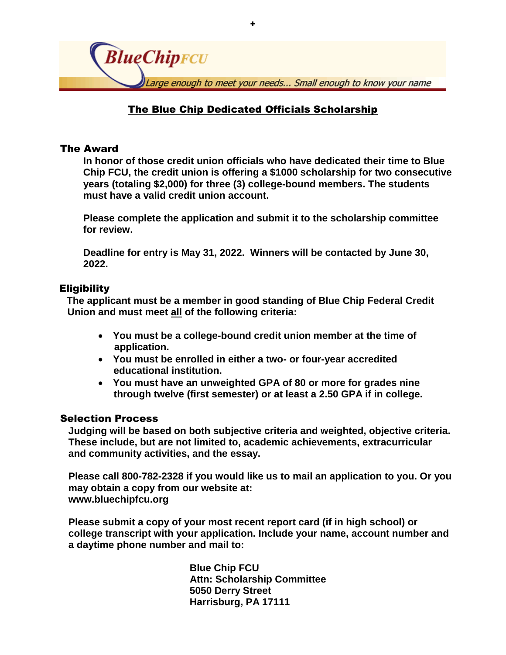

+

# The Blue Chip Dedicated Officials Scholarship

# The Award

**In honor of those credit union officials who have dedicated their time to Blue Chip FCU, the credit union is offering a \$1000 scholarship for two consecutive years (totaling \$2,000) for three (3) college-bound members. The students must have a valid credit union account.** 

**Please complete the application and submit it to the scholarship committee for review.** 

**Deadline for entry is May 31, 2022. Winners will be contacted by June 30, 2022.** 

## Eligibility

 **The applicant must be a member in good standing of Blue Chip Federal Credit Union and must meet all of the following criteria:**

- **You must be a college-bound credit union member at the time of application.**
- **You must be enrolled in either a two- or four-year accredited educational institution.**
- **You must have an unweighted GPA of 80 or more for grades nine through twelve (first semester) or at least a 2.50 GPA if in college.**

## Selection Process

**Judging will be based on both subjective criteria and weighted, objective criteria. These include, but are not limited to, academic achievements, extracurricular and community activities, and the essay.**

**Please call 800-782-2328 if you would like us to mail an application to you. Or you may obtain a copy from our website at: www.bluechipfcu.org**

**Please submit a copy of your most recent report card (if in high school) or college transcript with your application. Include your name, account number and a daytime phone number and mail to:**

> **Blue Chip FCU Attn: Scholarship Committee 5050 Derry Street Harrisburg, PA 17111**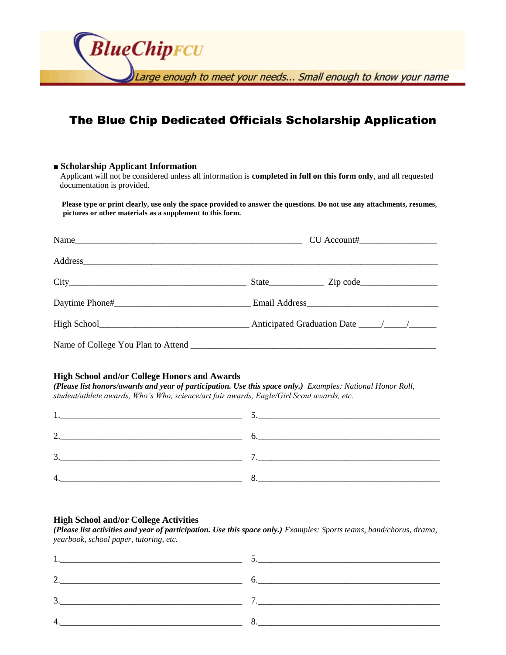**BlueChipFCU** Large enough to meet your needs... Small enough to know your name

# The Blue Chip Dedicated Officials Scholarship Application

#### **■ Scholarship Applicant Information**

 Applicant will not be considered unless all information is **completed in full on this form only**, and all requested documentation is provided.

 **Please type or print clearly, use only the space provided to answer the questions. Do not use any attachments, resumes, pictures or other materials as a supplement to this form.**

#### **High School and/or College Honors and Awards**

*(Please list honors/awards and year of participation. Use this space only.) Examples: National Honor Roll, student/athlete awards, Who's Who, science/art fair awards, Eagle/Girl Scout awards, etc.*

| $\mathbf{r}$<br>ت |  |
|-------------------|--|
|                   |  |

## **High School and/or College Activities**

*(Please list activities and year of participation. Use this space only.) Examples: Sports teams, band/chorus, drama, yearbook, school paper, tutoring, etc.*

| <u>.</u>                |  |
|-------------------------|--|
| $\mathbf{\Omega}$<br>J. |  |
| $\overline{4}$          |  |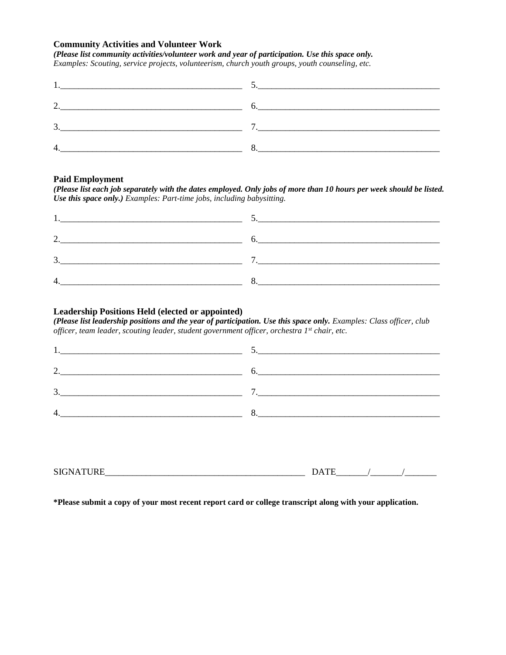## **Community Activities and Volunteer Work**

*(Please list community activities/volunteer work and year of participation. Use this space only.* 

*Examples: Scouting, service projects, volunteerism, church youth groups, youth counseling, etc.*

| <u> 1980 - Jan Barbara, martin da kasar Amerikaan a</u> |  |
|---------------------------------------------------------|--|
|                                                         |  |
| . ب                                                     |  |
|                                                         |  |

#### **Paid Employment**

*(Please list each job separately with the dates employed. Only jobs of more than 10 hours per week should be listed. Use this space only.) Examples: Part-time jobs, including babysitting.*

| ◠      |   |
|--------|---|
| ◠<br>◡ | - |
|        |   |

### **Leadership Positions Held (elected or appointed)**

*(Please list leadership positions and the year of participation. Use this space only. Examples: Class officer, club officer, team leader, scouting leader, student government officer, orchestra 1st chair, etc.*

| <u> 1980 - Jan Sterling von Berling von Berling von Berling von Berling von Berling von Berling von Berling von B</u> | $\mathcal{L}$                                             |
|-----------------------------------------------------------------------------------------------------------------------|-----------------------------------------------------------|
| <u> 1989 - John Stein, Amerikaansk politiker (* 1918)</u>                                                             | <u> 1980 - John Stein, Amerikaansk politiker (* 1908)</u> |
| <u> 1980 - Jan Barbara, martxa al II-lea (h. 1980).</u><br>1901 - Johann Barbara, martxa al II-lea (h. 1902).         |                                                           |
|                                                                                                                       |                                                           |
|                                                                                                                       |                                                           |

| <b>SIC</b><br>וראי<br>. | $\overline{\phantom{a}}$<br>د . |  |
|-------------------------|---------------------------------|--|
|-------------------------|---------------------------------|--|

**\*Please submit a copy of your most recent report card or college transcript along with your application.**